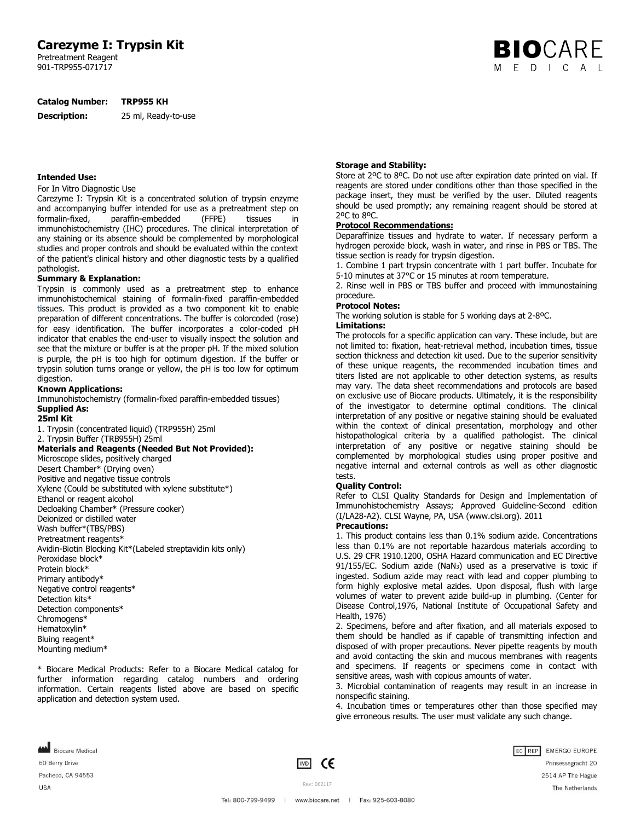# **Carezyme I: Trypsin Kit**

Pretreatment Reagent 901-TRP955-071717

#### **Catalog Number: TRP955 KH**

**Description:** 25 ml, Ready-to-use

#### **Intended Use:**

#### For In Vitro Diagnostic Use

Carezyme I: Trypsin Kit is a concentrated solution of trypsin enzyme and accompanying buffer intended for use as a pretreatment step on formalin-fixed, paraffin-embedded (FFPE) tissues in immunohistochemistry (IHC) procedures. The clinical interpretation of any staining or its absence should be complemented by morphological studies and proper controls and should be evaluated within the context of the patient's clinical history and other diagnostic tests by a qualified pathologist.

# **Summary & Explanation:**

Trypsin is commonly used as a pretreatment step to enhance immunohistochemical staining of formalin-fixed paraffin-embedded tissues. This product is provided as a two component kit to enable preparation of different concentrations. The buffer is colorcoded (rose) for easy identification. The buffer incorporates a color-coded pH indicator that enables the end-user to visually inspect the solution and see that the mixture or buffer is at the proper pH. If the mixed solution is purple, the pH is too high for optimum digestion. If the buffer or trypsin solution turns orange or yellow, the pH is too low for optimum digestion.

## **Known Applications:**

Immunohistochemistry (formalin-fixed paraffin-embedded tissues) **Supplied As:**

#### **25ml Kit**

1. Trypsin (concentrated liquid) (TRP955H) 25ml

2. Trypsin Buffer (TRB955H) 25ml

#### **Materials and Reagents (Needed But Not Provided):**

Microscope slides, positively charged Desert Chamber\* (Drying oven) Positive and negative tissue controls Xylene (Could be substituted with xylene substitute\*) Ethanol or reagent alcohol Decloaking Chamber\* (Pressure cooker) Deionized or distilled water Wash buffer\*(TBS/PBS) Pretreatment reagents\* Avidin-Biotin Blocking Kit\*(Labeled streptavidin kits only) Peroxidase block\* Protein block\* Primary antibody\* Negative control reagents\* Detection kits\* Detection components\* Chromogens\* Hematoxylin\* Bluing reagent\* Mounting medium\*

\* Biocare Medical Products: Refer to a Biocare Medical catalog for further information regarding catalog numbers and ordering information. Certain reagents listed above are based on specific application and detection system used.

# **Storage and Stability:**

Store at 2ºC to 8ºC. Do not use after expiration date printed on vial. If reagents are stored under conditions other than those specified in the package insert, they must be verified by the user. Diluted reagents should be used promptly; any remaining reagent should be stored at 2ºC to 8ºC.

**BIO**CARE E D I C A L

#### **Protocol Recommendations:**

Deparaffinize tissues and hydrate to water. If necessary perform a hydrogen peroxide block, wash in water, and rinse in PBS or TBS. The tissue section is ready for trypsin digestion.

1. Combine 1 part trypsin concentrate with 1 part buffer. Incubate for 5-10 minutes at 37°C or 15 minutes at room temperature.

2. Rinse well in PBS or TBS buffer and proceed with immunostaining procedure.

#### **Protocol Notes:**

The working solution is stable for 5 working days at 2-8ºC.

#### **Limitations:**

The protocols for a specific application can vary. These include, but are not limited to: fixation, heat-retrieval method, incubation times, tissue section thickness and detection kit used. Due to the superior sensitivity of these unique reagents, the recommended incubation times and titers listed are not applicable to other detection systems, as results may vary. The data sheet recommendations and protocols are based on exclusive use of Biocare products. Ultimately, it is the responsibility of the investigator to determine optimal conditions. The clinical interpretation of any positive or negative staining should be evaluated within the context of clinical presentation, morphology and other histopathological criteria by a qualified pathologist. The clinical interpretation of any positive or negative staining should be complemented by morphological studies using proper positive and negative internal and external controls as well as other diagnostic tests.

#### **Quality Control:**

Refer to CLSI Quality Standards for Design and Implementation of Immunohistochemistry Assays; Approved Guideline-Second edition (I/LA28-A2). CLSI Wayne, PA, USA (www.clsi.org). 2011

# **Precautions:**

1. This product contains less than 0.1% sodium azide. Concentrations less than 0.1% are not reportable hazardous materials according to U.S. 29 CFR 1910.1200, OSHA Hazard communication and EC Directive 91/155/EC. Sodium azide (NaN3) used as a preservative is toxic if ingested. Sodium azide may react with lead and copper plumbing to form highly explosive metal azides. Upon disposal, flush with large volumes of water to prevent azide build-up in plumbing. (Center for Disease Control,1976, National Institute of Occupational Safety and Health, 1976)

2. Specimens, before and after fixation, and all materials exposed to them should be handled as if capable of transmitting infection and disposed of with proper precautions. Never pipette reagents by mouth and avoid contacting the skin and mucous membranes with reagents and specimens. If reagents or specimens come in contact with sensitive areas, wash with copious amounts of water.

3. Microbial contamination of reagents may result in an increase in nonspecific staining.

4. Incubation times or temperatures other than those specified may give erroneous results. The user must validate any such change.

Biocare Medical 60 Berry Drive Pacheco, CA 94553 **USA** 



Rev: 062117 Tel: 800-799-9499 | www.biocare.net | Fax: 925-603-8080